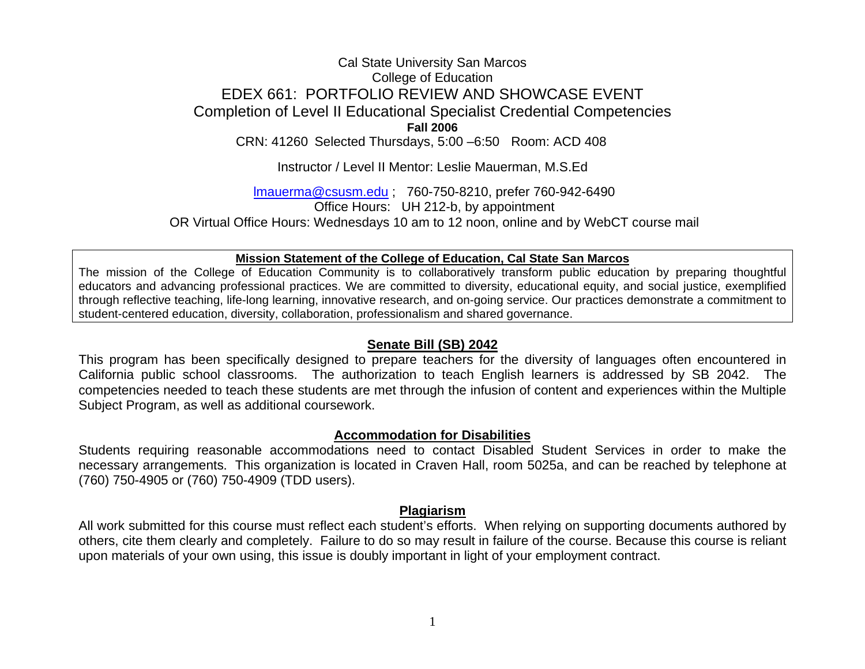# Cal State University San Marcos College of Education EDEX 661: PORTFOLIO REVIEW AND SHOWCASE EVENT Completion of Level II Educational Specialist Credential Competencies **Fall 2006** CRN: 41260 Selected Thursdays, 5:00 –6:50 Room: ACD 408

Instructor / Level II Mentor: Leslie Mauerman, M.S.Ed

lmauerma@csusm.edu ; 760-750-8210, prefer 760-942-6490 Office Hours: UH 212-b, by appointment OR Virtual Office Hours: Wednesdays 10 am to 12 noon, online and by WebCT course mail

#### **Mission Statement of the College of Education, Cal State San Marcos**

The mission of the College of Education Community is to collaboratively transform public education by preparing thoughtful educators and advancing professional practices. We are committed to diversity, educational equity, and social justice, exemplified through reflective teaching, life-long learning, innovative research, and on-going service. Our practices demonstrate a commitment to student-centered education, diversity, collaboration, professionalism and shared governance.

### **Senate Bill (SB) 2042**

This program has been specifically designed to prepare teachers for the diversity of languages often encountered in California public school classrooms. The authorization to teach English learners is addressed by SB 2042. The competencies needed to teach these students are met through the infusion of content and experiences within the Multiple Subject Program, as well as additional coursework.

### **Accommodation for Disabilities**

Students requiring reasonable accommodations need to contact Disabled Student Services in order to make the necessary arrangements. This organization is located in Craven Hall, room 5025a, and can be reached by telephone at (760) 750-4905 or (760) 750-4909 (TDD users).

### **Plagiarism**

All work submitted for this course must reflect each student's efforts. When relying on supporting documents authored by others, cite them clearly and completely. Failure to do so may result in failure of the course. Because this course is reliant upon materials of your own using, this issue is doubly important in light of your employment contract.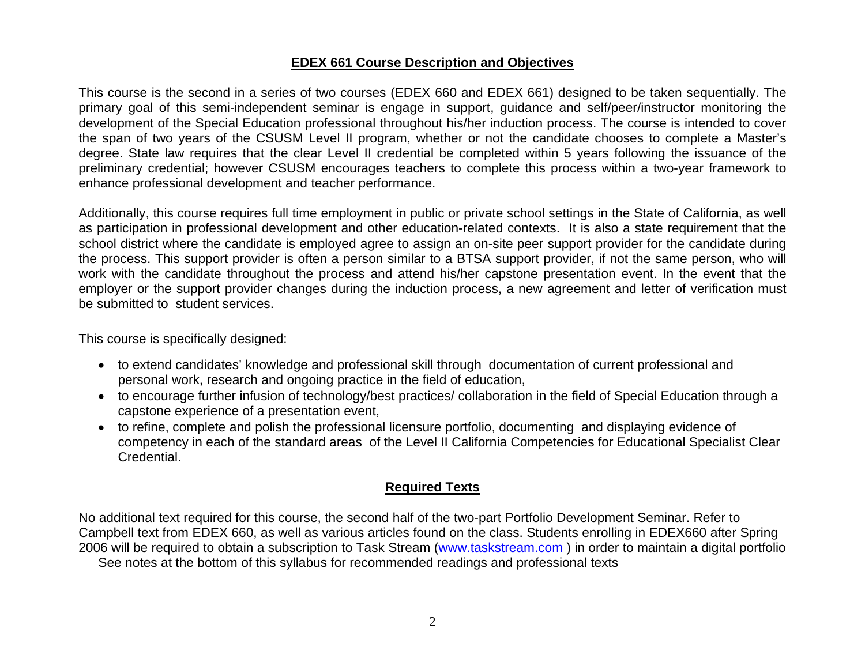## **EDEX 661 Course Description and Objectives**

This course is the second in a series of two courses (EDEX 660 and EDEX 661) designed to be taken sequentially. The primary goal of this semi-independent seminar is engage in support, guidance and self/peer/instructor monitoring the development of the Special Education professional throughout his/her induction process. The course is intended to cover the span of two years of the CSUSM Level II program, whether or not the candidate chooses to complete a Master's degree. State law requires that the clear Level II credential be completed within 5 years following the issuance of the preliminary credential; however CSUSM encourages teachers to complete this process within a two-year framework to enhance professional development and teacher performance.

Additionally, this course requires full time employment in public or private school settings in the State of California, as well as participation in professional development and other education-related contexts. It is also a state requirement that the school district where the candidate is employed agree to assign an on-site peer support provider for the candidate during the process. This support provider is often a person similar to a BTSA support provider, if not the same person, who will work with the candidate throughout the process and attend his/her capstone presentation event. In the event that the employer or the support provider changes during the induction process, a new agreement and letter of verification must be submitted to student services.

This course is specifically designed:

- to extend candidates' knowledge and professional skill through documentation of current professional and personal work, research and ongoing practice in the field of education,
- to encourage further infusion of technology/best practices/ collaboration in the field of Special Education through a capstone experience of a presentation event,
- to refine, complete and polish the professional licensure portfolio, documenting and displaying evidence of competency in each of the standard areas of the Level II California Competencies for Educational Specialist Clear Credential.

# **Required Texts**

No additional text required for this course, the second half of the two-part Portfolio Development Seminar. Refer to Campbell text from EDEX 660, as well as various articles found on the class. Students enrolling in EDEX660 after Spring 2006 will be required to obtain a subscription to Task Stream (www.taskstream.com ) in order to maintain a digital portfolio See notes at the bottom of this syllabus for recommended readings and professional texts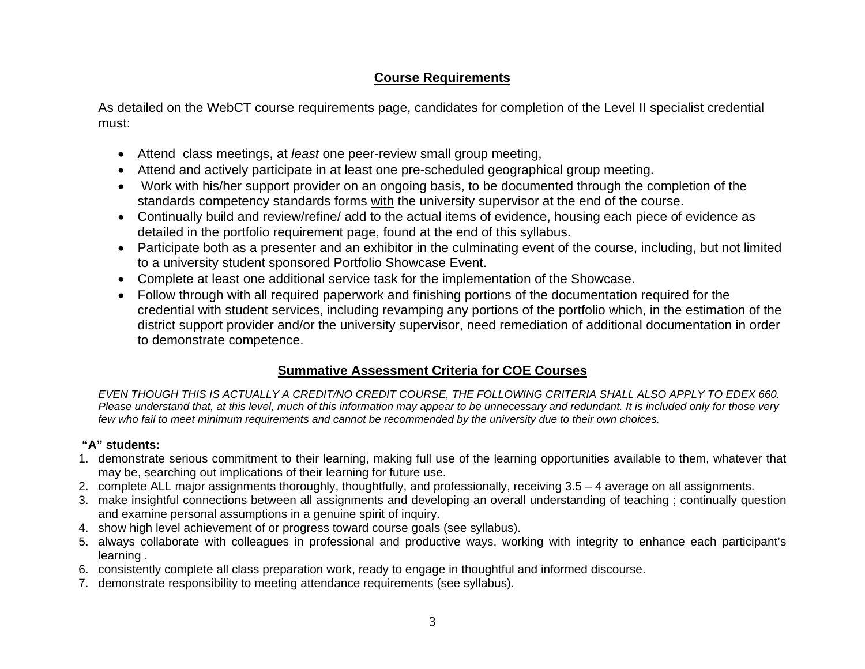# **Course Requirements**

As detailed on the WebCT course requirements page, candidates for completion of the Level II specialist credential must:

- Attend class meetings, at *least* one peer-review small group meeting,
- Attend and actively participate in at least one pre-scheduled geographical group meeting.
- Work with his/her support provider on an ongoing basis, to be documented through the completion of the standards competency standards forms with the university supervisor at the end of the course.
- Continually build and review/refine/ add to the actual items of evidence, housing each piece of evidence as detailed in the portfolio requirement page, found at the end of this syllabus.
- Participate both as a presenter and an exhibitor in the culminating event of the course, including, but not limited to a university student sponsored Portfolio Showcase Event.
- Complete at least one additional service task for the implementation of the Showcase.
- Follow through with all required paperwork and finishing portions of the documentation required for the credential with student services, including revamping any portions of the portfolio which, in the estimation of the district support provider and/or the university supervisor, need remediation of additional documentation in order to demonstrate competence.

# **Summative Assessment Criteria for COE Courses**

*EVEN THOUGH THIS IS ACTUALLY A CREDIT/NO CREDIT COURSE, THE FOLLOWING CRITERIA SHALL ALSO APPLY TO EDEX 660. Please understand that, at this level, much of this information may appear to be unnecessary and redundant. It is included only for those very few who fail to meet minimum requirements and cannot be recommended by the university due to their own choices.* 

## **"A" students:**

- 1. demonstrate serious commitment to their learning, making full use of the learning opportunities available to them, whatever that may be, searching out implications of their learning for future use.
- 2. complete ALL major assignments thoroughly, thoughtfully, and professionally, receiving 3.5 4 average on all assignments.
- 3. make insightful connections between all assignments and developing an overall understanding of teaching ; continually question and examine personal assumptions in a genuine spirit of inquiry.
- 4. show high level achievement of or progress toward course goals (see syllabus).
- 5. always collaborate with colleagues in professional and productive ways, working with integrity to enhance each participant's learning .
- 6. consistently complete all class preparation work, ready to engage in thoughtful and informed discourse.
- 7. demonstrate responsibility to meeting attendance requirements (see syllabus).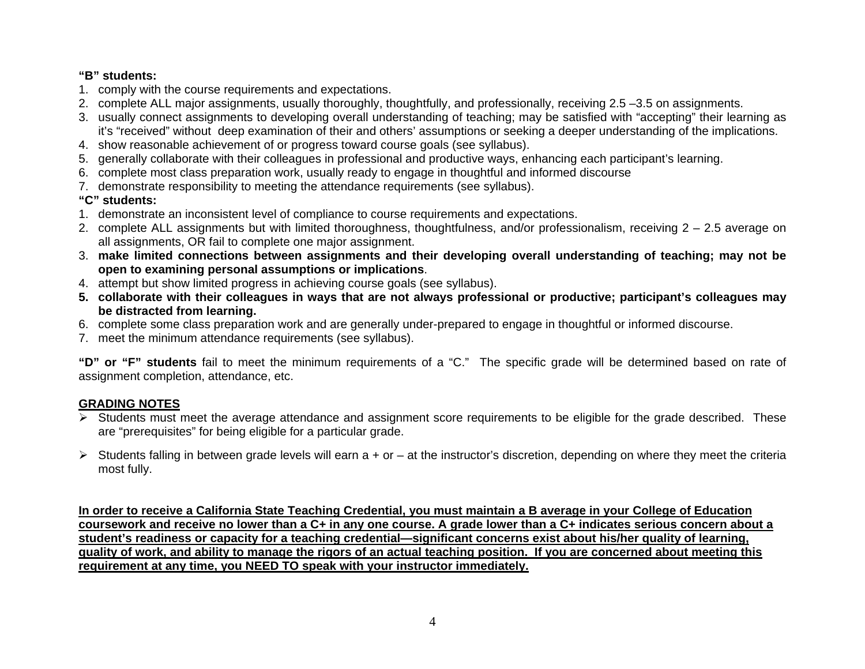### **"B" students:**

- 1. comply with the course requirements and expectations.
- 2. complete ALL major assignments, usually thoroughly, thoughtfully, and professionally, receiving 2.5 –3.5 on assignments.
- 3. usually connect assignments to developing overall understanding of teaching; may be satisfied with "accepting" their learning as it's "received" without deep examination of their and others' assumptions or seeking a deeper understanding of the implications.
- 4. show reasonable achievement of or progress toward course goals (see syllabus).
- 5. generally collaborate with their colleagues in professional and productive ways, enhancing each participant's learning.
- 6. complete most class preparation work, usually ready to engage in thoughtful and informed discourse
- 7. demonstrate responsibility to meeting the attendance requirements (see syllabus).

# **"C" students:**

- 1. demonstrate an inconsistent level of compliance to course requirements and expectations.
- 2. complete ALL assignments but with limited thoroughness, thoughtfulness, and/or professionalism, receiving 2 2.5 average on all assignments, OR fail to complete one major assignment.
- 3. **make limited connections between assignments and their developing overall understanding of teaching; may not be open to examining personal assumptions or implications**.
- 4. attempt but show limited progress in achieving course goals (see syllabus).
- **5. collaborate with their colleagues in ways that are not always professional or productive; participant's colleagues may be distracted from learning.**
- 6. complete some class preparation work and are generally under-prepared to engage in thoughtful or informed discourse.
- 7. meet the minimum attendance requirements (see syllabus).

**"D" or "F" students** fail to meet the minimum requirements of a "C." The specific grade will be determined based on rate of assignment completion, attendance, etc.

# **GRADING NOTES**

- ¾ Students must meet the average attendance and assignment score requirements to be eligible for the grade described. These are "prerequisites" for being eligible for a particular grade.
- $\triangleright$  Students falling in between grade levels will earn a + or at the instructor's discretion, depending on where they meet the criteria most fully.

**In order to receive a California State Teaching Credential, you must maintain a B average in your College of Education coursework and receive no lower than a C+ in any one course. A grade lower than a C+ indicates serious concern about a student's readiness or capacity for a teaching credential—significant concerns exist about his/her quality of learning, quality of work, and ability to manage the rigors of an actual teaching position. If you are concerned about meeting this requirement at any time, you NEED TO speak with your instructor immediately.**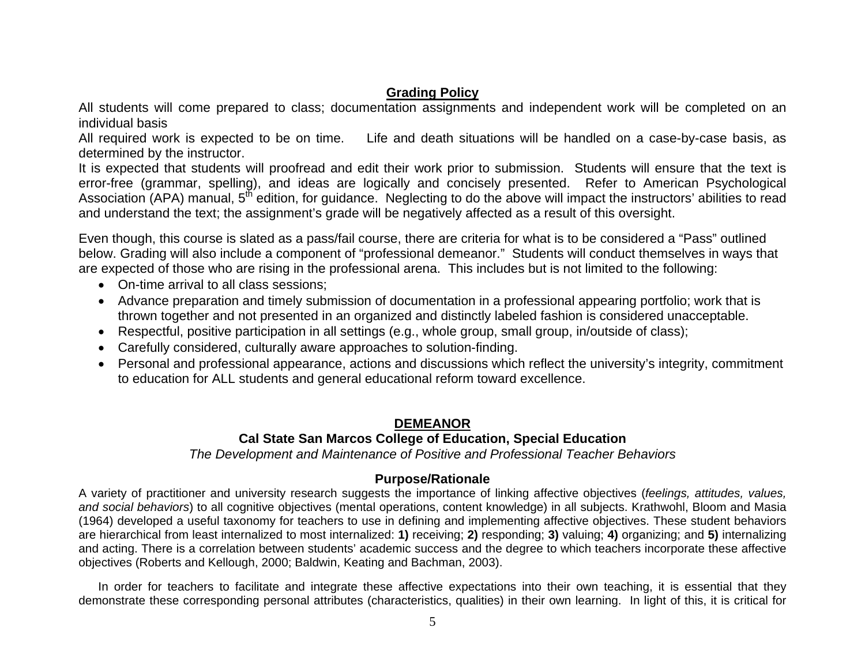# **Grading Policy**

All students will come prepared to class; documentation assignments and independent work will be completed on an individual basis

All required work is expected to be on time. Life and death situations will be handled on a case-by-case basis, as determined by the instructor.

It is expected that students will proofread and edit their work prior to submission. Students will ensure that the text is error-free (grammar, spelling), and ideas are logically and concisely presented. Refer to American Psychological Association (APA) manual, 5<sup>th</sup> edition, for guidance. Neglecting to do the above will impact the instructors' abilities to read and understand the text; the assignment's grade will be negatively affected as a result of this oversight.

Even though, this course is slated as a pass/fail course, there are criteria for what is to be considered a "Pass" outlined below. Grading will also include a component of "professional demeanor." Students will conduct themselves in ways that are expected of those who are rising in the professional arena. This includes but is not limited to the following:

- On-time arrival to all class sessions;
- Advance preparation and timely submission of documentation in a professional appearing portfolio; work that is thrown together and not presented in an organized and distinctly labeled fashion is considered unacceptable.
- Respectful, positive participation in all settings (e.g., whole group, small group, in/outside of class);
- Carefully considered, culturally aware approaches to solution-finding.
- Personal and professional appearance, actions and discussions which reflect the university's integrity, commitment to education for ALL students and general educational reform toward excellence.

# **DEMEANOR**

# **Cal State San Marcos College of Education, Special Education**

*The Development and Maintenance of Positive and Professional Teacher Behaviors* 

## **Purpose/Rationale**

A variety of practitioner and university research suggests the importance of linking affective objectives (*feelings, attitudes, values, and social behaviors*) to all cognitive objectives (mental operations, content knowledge) in all subjects. Krathwohl, Bloom and Masia (1964) developed a useful taxonomy for teachers to use in defining and implementing affective objectives. These student behaviors are hierarchical from least internalized to most internalized: **1)** receiving; **2)** responding; **3)** valuing; **4)** organizing; and **5)** internalizing and acting. There is a correlation between students' academic success and the degree to which teachers incorporate these affective objectives (Roberts and Kellough, 2000; Baldwin, Keating and Bachman, 2003).

In order for teachers to facilitate and integrate these affective expectations into their own teaching, it is essential that they demonstrate these corresponding personal attributes (characteristics, qualities) in their own learning. In light of this, it is critical for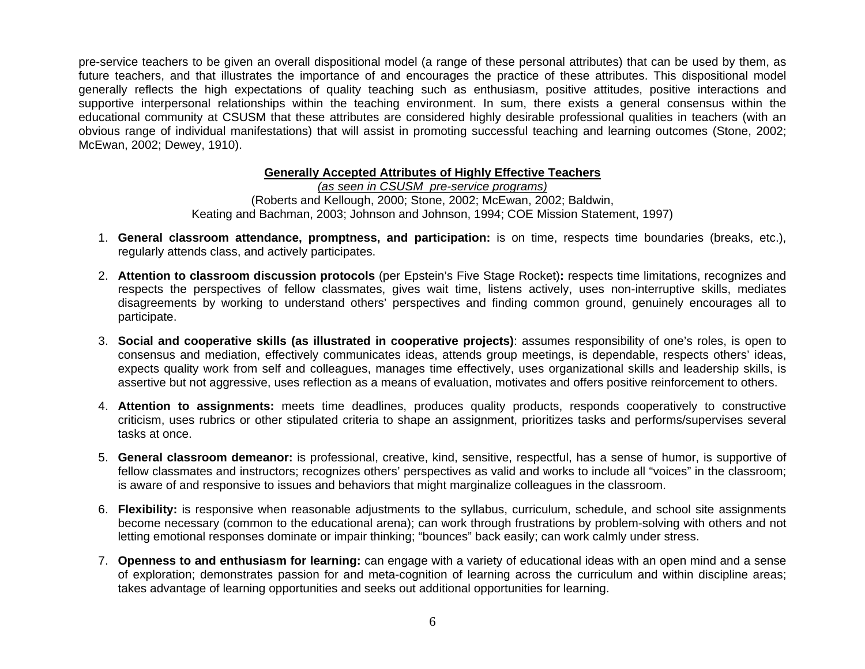pre-service teachers to be given an overall dispositional model (a range of these personal attributes) that can be used by them, as future teachers, and that illustrates the importance of and encourages the practice of these attributes. This dispositional model generally reflects the high expectations of quality teaching such as enthusiasm, positive attitudes, positive interactions and supportive interpersonal relationships within the teaching environment. In sum, there exists a general consensus within the educational community at CSUSM that these attributes are considered highly desirable professional qualities in teachers (with an obvious range of individual manifestations) that will assist in promoting successful teaching and learning outcomes (Stone, 2002; McEwan, 2002; Dewey, 1910).

### **Generally Accepted Attributes of Highly Effective Teachers**

*(as seen in CSUSM pre-service programs)* (Roberts and Kellough, 2000; Stone, 2002; McEwan, 2002; Baldwin, Keating and Bachman, 2003; Johnson and Johnson, 1994; COE Mission Statement, 1997)

- 1. **General classroom attendance, promptness, and participation:** is on time, respects time boundaries (breaks, etc.), regularly attends class, and actively participates.
- 2. **Attention to classroom discussion protocols** (per Epstein's Five Stage Rocket)**:** respects time limitations, recognizes and respects the perspectives of fellow classmates, gives wait time, listens actively, uses non-interruptive skills, mediates disagreements by working to understand others' perspectives and finding common ground, genuinely encourages all to participate.
- 3. **Social and cooperative skills (as illustrated in cooperative projects)**: assumes responsibility of one's roles, is open to consensus and mediation, effectively communicates ideas, attends group meetings, is dependable, respects others' ideas, expects quality work from self and colleagues, manages time effectively, uses organizational skills and leadership skills, is assertive but not aggressive, uses reflection as a means of evaluation, motivates and offers positive reinforcement to others.
- 4. **Attention to assignments:** meets time deadlines, produces quality products, responds cooperatively to constructive criticism, uses rubrics or other stipulated criteria to shape an assignment, prioritizes tasks and performs/supervises several tasks at once.
- 5. **General classroom demeanor:** is professional, creative, kind, sensitive, respectful, has a sense of humor, is supportive of fellow classmates and instructors; recognizes others' perspectives as valid and works to include all "voices" in the classroom; is aware of and responsive to issues and behaviors that might marginalize colleagues in the classroom.
- 6. **Flexibility:** is responsive when reasonable adjustments to the syllabus, curriculum, schedule, and school site assignments become necessary (common to the educational arena); can work through frustrations by problem-solving with others and not letting emotional responses dominate or impair thinking; "bounces" back easily; can work calmly under stress.
- 7. **Openness to and enthusiasm for learning:** can engage with a variety of educational ideas with an open mind and a sense of exploration; demonstrates passion for and meta-cognition of learning across the curriculum and within discipline areas; takes advantage of learning opportunities and seeks out additional opportunities for learning.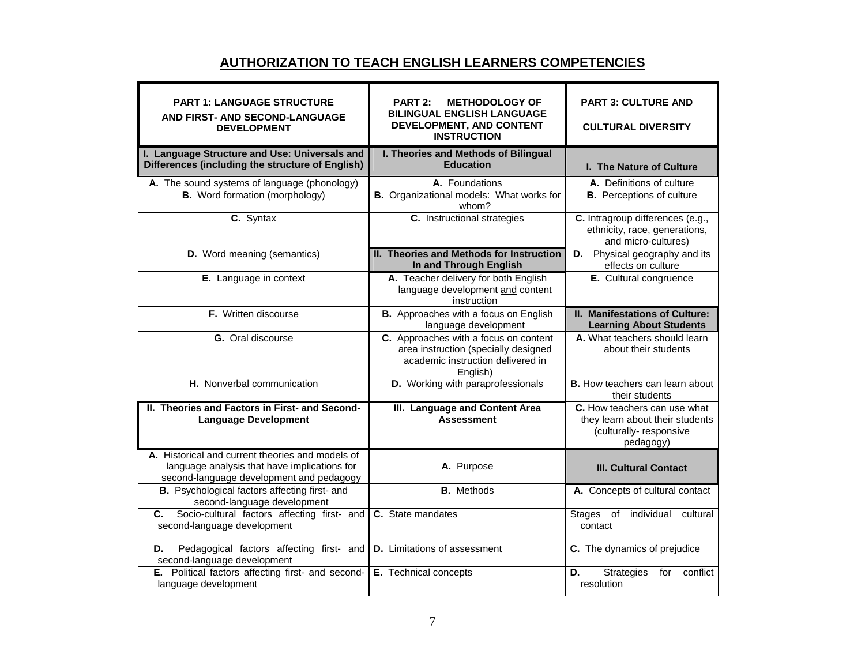## **AUTHORIZATION TO TEACH ENGLISH LEARNERS COMPETENCIES**

| <b>PART 1: LANGUAGE STRUCTURE</b><br>AND FIRST- AND SECOND-LANGUAGE<br><b>DEVELOPMENT</b>                                                    | <b>PART 2:</b><br><b>METHODOLOGY OF</b><br><b>BILINGUAL ENGLISH LANGUAGE</b><br>DEVELOPMENT, AND CONTENT<br><b>INSTRUCTION</b> | <b>PART 3: CULTURE AND</b><br><b>CULTURAL DIVERSITY</b>                                                |
|----------------------------------------------------------------------------------------------------------------------------------------------|--------------------------------------------------------------------------------------------------------------------------------|--------------------------------------------------------------------------------------------------------|
| I. Language Structure and Use: Universals and<br>Differences (including the structure of English)                                            | I. Theories and Methods of Bilingual<br><b>Education</b>                                                                       | I. The Nature of Culture                                                                               |
| A. The sound systems of language (phonology)<br><b>B.</b> Word formation (morphology)                                                        | A. Foundations<br>B. Organizational models: What works for<br>whom?                                                            | <b>A.</b> Definitions of culture<br><b>B.</b> Perceptions of culture                                   |
| C. Syntax                                                                                                                                    | C. Instructional strategies                                                                                                    | C. Intragroup differences (e.g.,<br>ethnicity, race, generations,<br>and micro-cultures)               |
| D. Word meaning (semantics)                                                                                                                  | <b>II. Theories and Methods for Instruction</b><br>In and Through English                                                      | <b>D.</b> Physical geography and its<br>effects on culture                                             |
| E. Language in context                                                                                                                       | A. Teacher delivery for both English<br>language development and content<br>instruction                                        | E. Cultural congruence                                                                                 |
| F. Written discourse                                                                                                                         | B. Approaches with a focus on English<br>language development                                                                  | II. Manifestations of Culture:<br><b>Learning About Students</b>                                       |
| G. Oral discourse                                                                                                                            | C. Approaches with a focus on content<br>area instruction (specially designed<br>academic instruction delivered in<br>English) | A. What teachers should learn<br>about their students                                                  |
| H. Nonverbal communication                                                                                                                   | D. Working with paraprofessionals                                                                                              | <b>B.</b> How teachers can learn about<br>their students                                               |
| II. Theories and Factors in First- and Second-<br><b>Language Development</b>                                                                | III. Language and Content Area<br><b>Assessment</b>                                                                            | C. How teachers can use what<br>they learn about their students<br>(culturally-responsive<br>pedagogy) |
| A. Historical and current theories and models of<br>language analysis that have implications for<br>second-language development and pedagogy | A. Purpose                                                                                                                     | <b>III. Cultural Contact</b>                                                                           |
| B. Psychological factors affecting first- and<br>second-language development                                                                 | <b>B.</b> Methods                                                                                                              | A. Concepts of cultural contact                                                                        |
| Socio-cultural factors affecting first- and<br>С.<br>second-language development                                                             | C. State mandates                                                                                                              | individual<br><b>Stages</b><br>of<br>cultural<br>contact                                               |
| Pedagogical factors affecting first- and<br>D.<br>second-language development                                                                | <b>D.</b> Limitations of assessment                                                                                            | C. The dynamics of prejudice                                                                           |
| E. Political factors affecting first- and second-<br>language development                                                                    | E. Technical concepts                                                                                                          | <b>Strategies</b><br>D.<br>for<br>conflict<br>resolution                                               |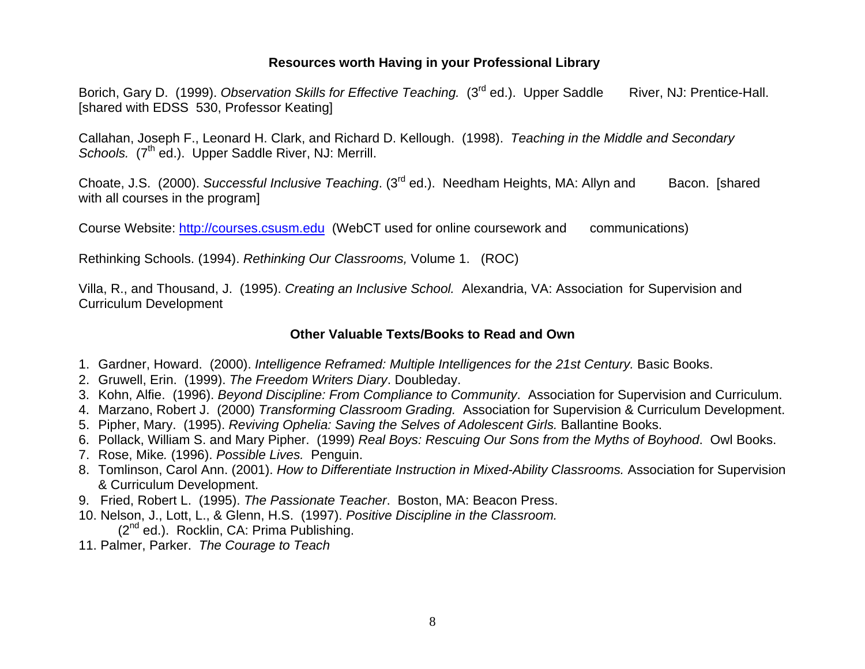### **Resources worth Having in your Professional Library**

Borich, Gary D. (1999). Observation Skills for Effective Teaching. (3<sup>rd</sup> ed.). Upper Saddle River, NJ: Prentice-Hall. [shared with EDSS 530, Professor Keating]

Callahan, Joseph F., Leonard H. Clark, and Richard D. Kellough. (1998). *Teaching in the Middle and Secondary*  Schools. (7<sup>th</sup> ed.). Upper Saddle River, NJ: Merrill.

Choate, J.S. (2000). *Successful Inclusive Teaching*. (3rd ed.). Needham Heights, MA: Allyn and Bacon. [shared with all courses in the program]

Course Website: http://courses.csusm.edu (WebCT used for online coursework and communications)

Rethinking Schools. (1994). *Rethinking Our Classrooms,* Volume 1. (ROC)

Villa, R., and Thousand, J. (1995). *Creating an Inclusive School.* Alexandria, VA: Association for Supervision and Curriculum Development

### **Other Valuable Texts/Books to Read and Own**

- 1. Gardner, Howard. (2000). *Intelligence Reframed: Multiple Intelligences for the 21st Century.* Basic Books.
- 2. Gruwell, Erin. (1999). *The Freedom Writers Diary*. Doubleday.
- 3. Kohn, Alfie. (1996). *Beyond Discipline: From Compliance to Community*. Association for Supervision and Curriculum.
- 4. Marzano, Robert J. (2000) *Transforming Classroom Grading.* Association for Supervision & Curriculum Development.
- 5. Pipher, Mary. (1995). *Reviving Ophelia: Saving the Selves of Adolescent Girls.* Ballantine Books.
- 6. Pollack, William S. and Mary Pipher. (1999) *Real Boys: Rescuing Our Sons from the Myths of Boyhood*. Owl Books.
- 7. Rose, Mike*.* (1996). *Possible Lives.* Penguin.
- 8. Tomlinson, Carol Ann. (2001). *How to Differentiate Instruction in Mixed-Ability Classrooms.* Association for Supervision & Curriculum Development.
- 9. Fried, Robert L. (1995). *The Passionate Teacher*. Boston, MA: Beacon Press.
- 10. Nelson, J., Lott, L., & Glenn, H.S. (1997). *Positive Discipline in the Classroom.*
	- $(2^{nd}$  ed.). Rocklin, CA: Prima Publishing.
- 11. Palmer, Parker. *The Courage to Teach*